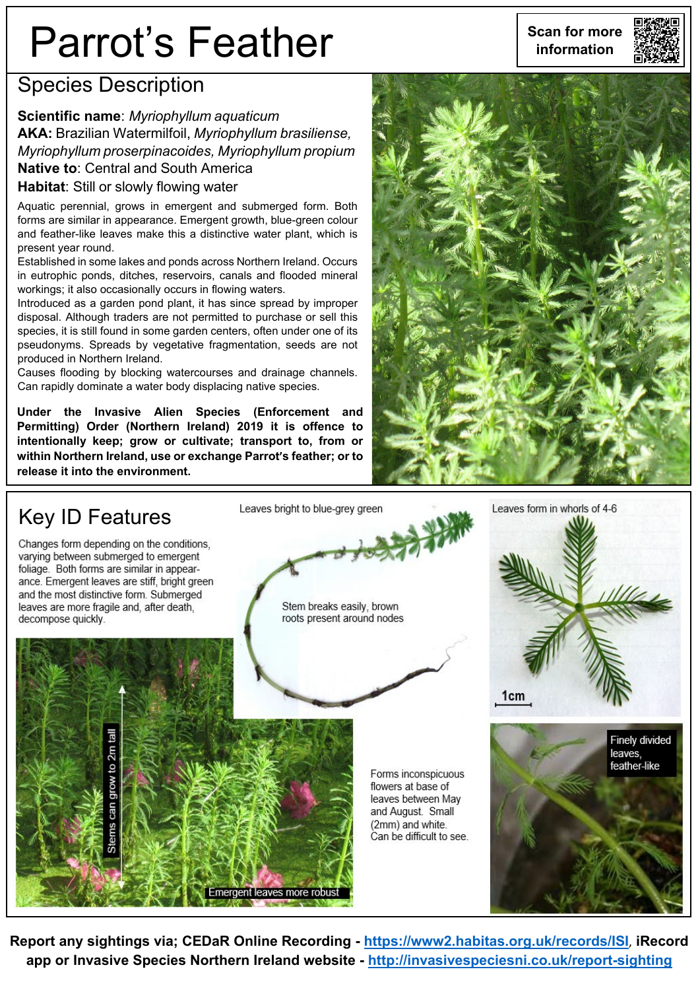# **Parrot's Feather** Scan for more

#### Species Description

#### **Scientific name**: *Myriophyllum aquaticum*

**AKA:** Brazilian Watermilfoil, *Myriophyllum brasiliense, Myriophyllum proserpinacoides, Myriophyllum propium* **Native to**: Central and South America **Habitat**: Still or slowly flowing water

Aquatic perennial, grows in emergent and submerged form. Both forms are similar in appearance. Emergent growth, blue-green colour and feather-like leaves make this a distinctive water plant, which is present year round.

Established in some lakes and ponds across Northern Ireland. Occurs in eutrophic ponds, ditches, reservoirs, canals and flooded mineral workings; it also occasionally occurs in flowing waters.

Introduced as a garden pond plant, it has since spread by improper disposal. Although traders are not permitted to purchase or sell this species, it is still found in some garden centers, often under one of its pseudonyms. Spreads by vegetative fragmentation, seeds are not produced in Northern Ireland.

Causes flooding by blocking watercourses and drainage channels. Can rapidly dominate a water body displacing native species.

**Under the Invasive Alien Species (Enforcement and Permitting) Order (Northern Ireland) 2019 it is offence to intentionally keep; grow or cultivate; transport to, from or within Northern Ireland, use or exchange Parrot's feather; or to release it into the environment.**





**Report any sightings via; CEDaR Online Recording - <https://www2.habitas.org.uk/records/ISI>**, **iRecord app or Invasive Species Northern Ireland website - <http://invasivespeciesni.co.uk/report-sighting>**